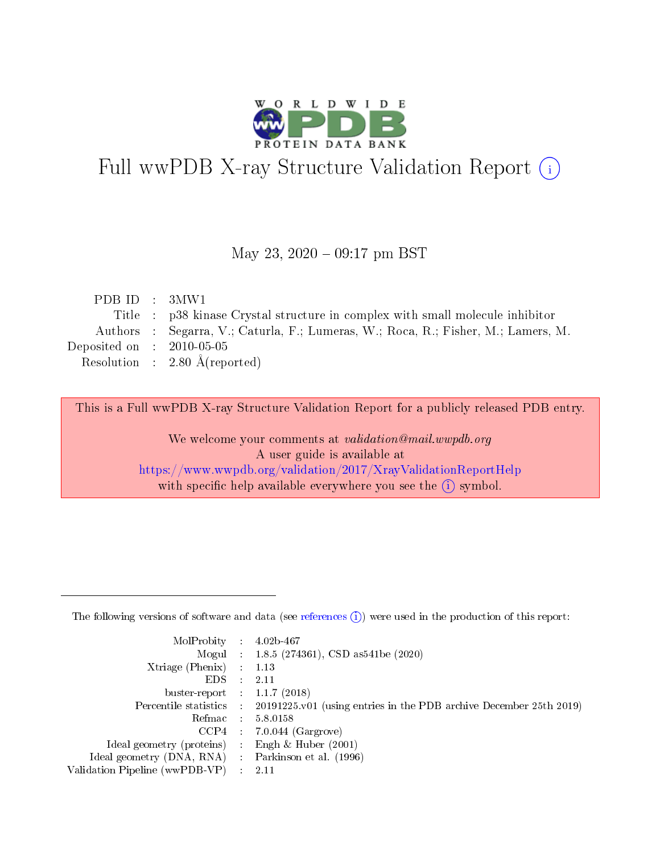

# Full wwPDB X-ray Structure Validation Report (i)

#### May 23,  $2020 - 09:17$  pm BST

| PDBID : 3MW1                |                                                                                   |
|-----------------------------|-----------------------------------------------------------------------------------|
|                             | Title : p38 kinase Crystal structure in complex with small molecule inhibitor     |
|                             | Authors : Segarra, V.; Caturla, F.; Lumeras, W.; Roca, R.; Fisher, M.; Lamers, M. |
| Deposited on : $2010-05-05$ |                                                                                   |
|                             | Resolution : $2.80 \text{ Å}$ (reported)                                          |
|                             |                                                                                   |

This is a Full wwPDB X-ray Structure Validation Report for a publicly released PDB entry.

We welcome your comments at validation@mail.wwpdb.org A user guide is available at <https://www.wwpdb.org/validation/2017/XrayValidationReportHelp> with specific help available everywhere you see the  $(i)$  symbol.

The following versions of software and data (see [references](https://www.wwpdb.org/validation/2017/XrayValidationReportHelp#references)  $(1)$ ) were used in the production of this report:

| MolProbity :                   |               | $4.02b - 467$                                                               |
|--------------------------------|---------------|-----------------------------------------------------------------------------|
|                                |               | Mogul : $1.8.5$ (274361), CSD as 541be (2020)                               |
| $X$ triage (Phenix) :          |               | 1.13                                                                        |
| EDS.                           |               | 2.11                                                                        |
| buster-report : $1.1.7$ (2018) |               |                                                                             |
| Percentile statistics :        |               | $20191225 \text{v}01$ (using entries in the PDB archive December 25th 2019) |
| Refmac :                       |               | 5.8.0158                                                                    |
| $CCP4$ :                       |               | $7.0.044$ (Gargrove)                                                        |
| Ideal geometry (proteins) :    |               | Engh $\&$ Huber (2001)                                                      |
| Ideal geometry (DNA, RNA) :    |               | Parkinson et al. (1996)                                                     |
| Validation Pipeline (wwPDB-VP) | $\mathcal{L}$ | 2.11                                                                        |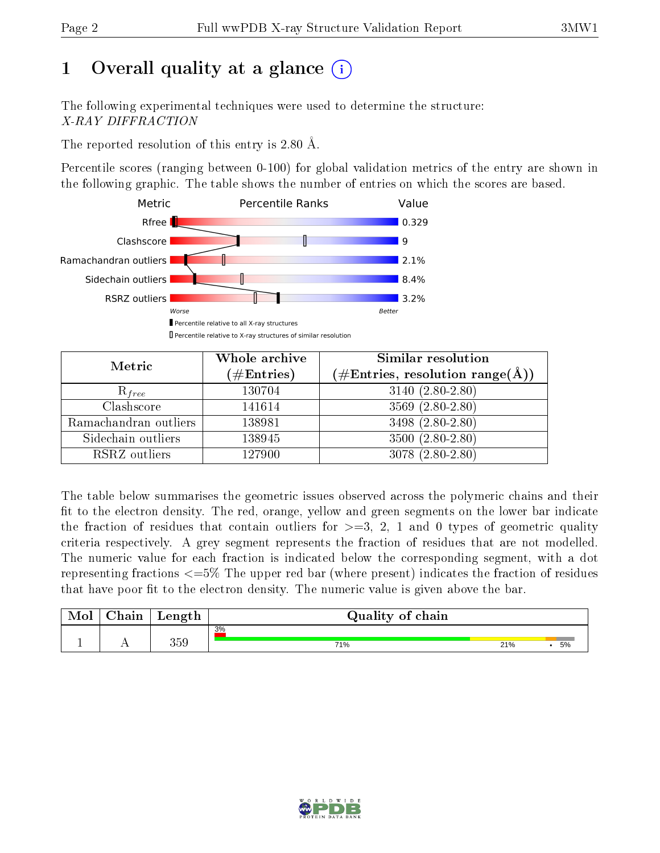# 1 [O](https://www.wwpdb.org/validation/2017/XrayValidationReportHelp#overall_quality)verall quality at a glance  $(i)$

The following experimental techniques were used to determine the structure: X-RAY DIFFRACTION

The reported resolution of this entry is 2.80 Å.

Percentile scores (ranging between 0-100) for global validation metrics of the entry are shown in the following graphic. The table shows the number of entries on which the scores are based.



| Metric                | Whole archive<br>$(\#\mathrm{Entries})$ | Similar resolution<br>$(\#\text{Entries},\, \text{resolution}\; \text{range}(\textup{\AA}))$ |  |  |
|-----------------------|-----------------------------------------|----------------------------------------------------------------------------------------------|--|--|
| $R_{free}$            | 130704                                  | $3140 (2.80 - 2.80)$                                                                         |  |  |
| Clashscore            | 141614                                  | $3569(2.80-2.80)$                                                                            |  |  |
| Ramachandran outliers | 138981                                  | 3498 (2.80-2.80)                                                                             |  |  |
| Sidechain outliers    | 138945                                  | $3500(2.80-2.80)$                                                                            |  |  |
| RSRZ outliers         | 127900                                  | $3078(2.80-2.80)$                                                                            |  |  |

The table below summarises the geometric issues observed across the polymeric chains and their fit to the electron density. The red, orange, yellow and green segments on the lower bar indicate the fraction of residues that contain outliers for  $>=3, 2, 1$  and 0 types of geometric quality criteria respectively. A grey segment represents the fraction of residues that are not modelled. The numeric value for each fraction is indicated below the corresponding segment, with a dot representing fractions <=5% The upper red bar (where present) indicates the fraction of residues that have poor fit to the electron density. The numeric value is given above the bar.

| Mol       | $\sim$ 1<br>hain | Length | Quality of chain |     |    |
|-----------|------------------|--------|------------------|-----|----|
|           |                  |        | 3%               |     |    |
| <u>д.</u> | . .              | 359    | 71%              | 21% | 5% |

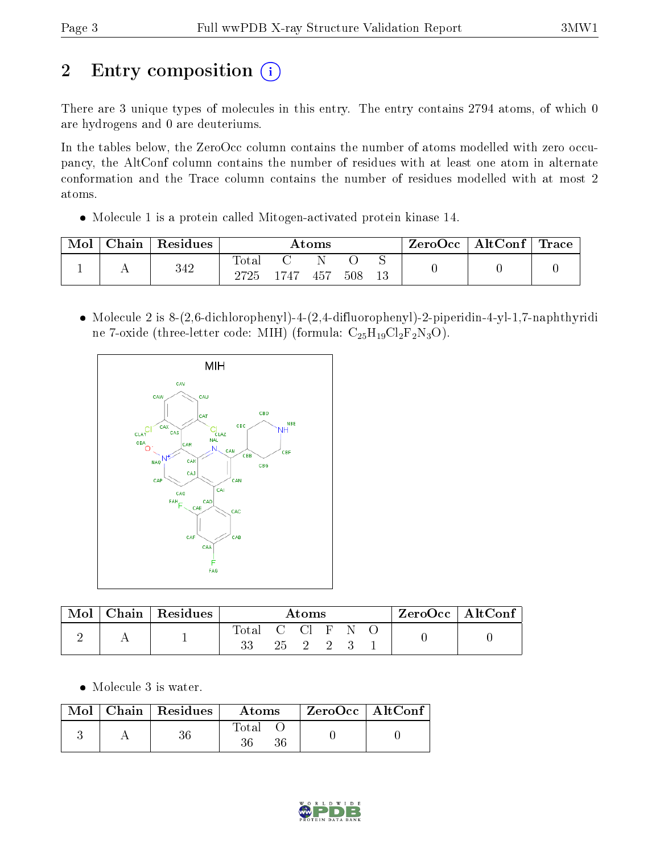# 2 Entry composition (i)

There are 3 unique types of molecules in this entry. The entry contains 2794 atoms, of which 0 are hydrogens and 0 are deuteriums.

In the tables below, the ZeroOcc column contains the number of atoms modelled with zero occupancy, the AltConf column contains the number of residues with at least one atom in alternate conformation and the Trace column contains the number of residues modelled with at most 2 atoms.

Molecule 1 is a protein called Mitogen-activated protein kinase 14.

| Mol | Chain | Residues | $\rm{Atoms}$             |          |     |     | ZeroOcc | $\mid$ AltConf $\mid$ Trace |  |  |
|-----|-------|----------|--------------------------|----------|-----|-----|---------|-----------------------------|--|--|
|     |       | 342      | $\mathrm{Total}$<br>2725 | $1747 -$ | 457 | 508 | 13      |                             |  |  |

 Molecule 2 is 8-(2,6-dichlorophenyl)-4-(2,4-difluorophenyl)-2-piperidin-4-yl-1,7-naphthyridi ne 7-oxide (three-letter code: MIH) (formula:  $C_{25}H_{19}Cl_2F_2N_3O$ ).



| Mol | Chain   Residues | Atoms                  |  |                              | $\vert$ ZeroOcc $\vert$ AltConf $\vert$ |  |  |  |  |
|-----|------------------|------------------------|--|------------------------------|-----------------------------------------|--|--|--|--|
|     |                  | Total C Cl F N O<br>33 |  | $25 \quad 2 \quad 2 \quad 3$ |                                         |  |  |  |  |

Molecule 3 is water.

| Mol | $\mid$ Chain $\mid$ Residues | Atoms       | $ZeroOcc \   \ AltConf$ |  |
|-----|------------------------------|-------------|-------------------------|--|
|     |                              | Total<br>36 |                         |  |

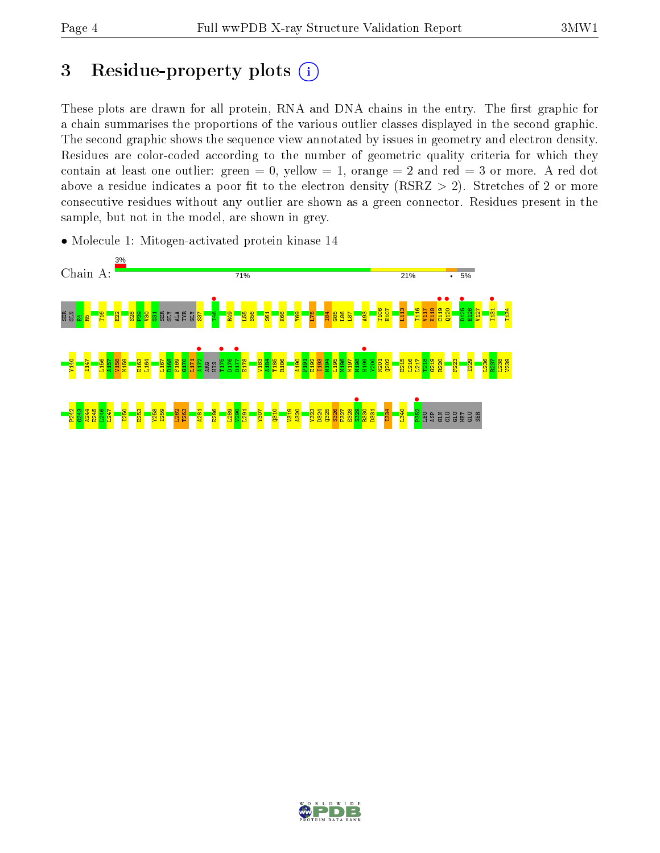## 3 Residue-property plots  $(i)$

These plots are drawn for all protein, RNA and DNA chains in the entry. The first graphic for a chain summarises the proportions of the various outlier classes displayed in the second graphic. The second graphic shows the sequence view annotated by issues in geometry and electron density. Residues are color-coded according to the number of geometric quality criteria for which they contain at least one outlier: green  $= 0$ , yellow  $= 1$ , orange  $= 2$  and red  $= 3$  or more. A red dot above a residue indicates a poor fit to the electron density (RSRZ  $> 2$ ). Stretches of 2 or more consecutive residues without any outlier are shown as a green connector. Residues present in the sample, but not in the model, are shown in grey.

• Molecule 1: Mitogen-activated protein kinase 14



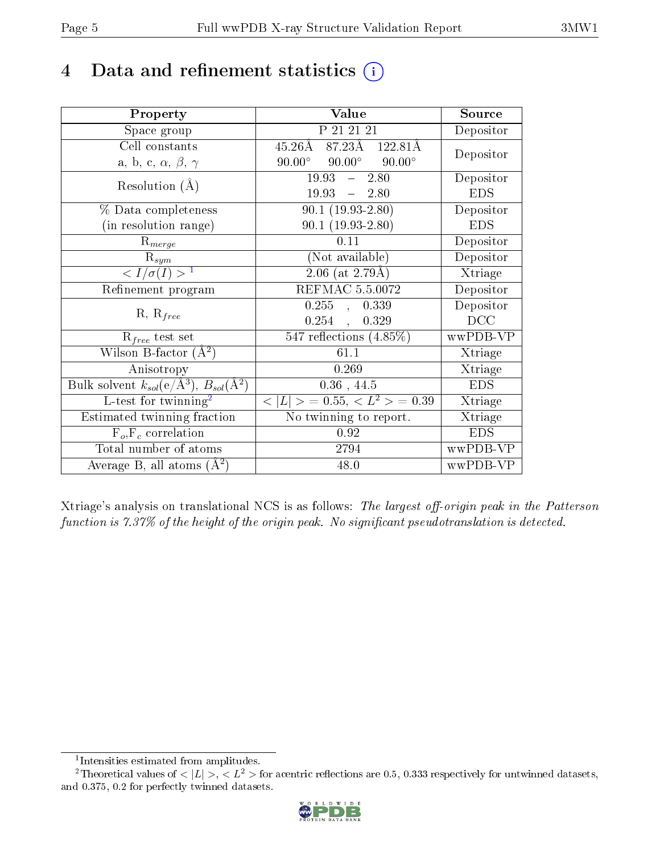## 4 Data and refinement statistics  $(i)$

| Property                                                             | Value                                             | Source     |
|----------------------------------------------------------------------|---------------------------------------------------|------------|
| Space group                                                          | P 21 21 21                                        | Depositor  |
| Cell constants                                                       | $87.23\text{\AA}$ 122.81Å<br>$45.26\text{\AA}$    | Depositor  |
| a, b, c, $\alpha$ , $\beta$ , $\gamma$                               | $90.00^\circ$<br>$90.00^{\circ}$<br>$90.00^\circ$ |            |
| Resolution $(A)$                                                     | 19.93<br>2.80<br>$\frac{1}{2}$                    | Depositor  |
|                                                                      | 19.93<br>$-2.80$                                  | <b>EDS</b> |
| % Data completeness                                                  | $90.1(19.93-2.80)$                                | Depositor  |
| (in resolution range)                                                | $90.1(19.93-2.80)$                                | <b>EDS</b> |
| $\mathrm{R}_{merge}$                                                 | 0.11                                              | Depositor  |
| $\mathrm{R}_{sym}$                                                   | (Not available)                                   | Depositor  |
| $\sqrt{I/\sigma}(I) > 1$                                             | $\sqrt{2.06 \text{ (at } 2.79 \text{\AA})}$       | Xtriage    |
| Refinement program                                                   | <b>REFMAC 5.5.0072</b>                            | Depositor  |
|                                                                      | $0.255$ ,<br>0.339                                | Depositor  |
| $R, R_{free}$                                                        | $0.254$ ,<br>0.329                                | DCC        |
| $\mathcal{R}_{free}$ test set                                        | $\overline{547}$ reflections $(4.85\%)$           | wwPDB-VP   |
| Wilson B-factor $(A^2)$                                              | 61.1                                              | Xtriage    |
| Anisotropy                                                           | 0.269                                             | Xtriage    |
| Bulk solvent $k_{sol}(e/\mathring{A}^3)$ , $B_{sol}(\mathring{A}^2)$ | $0.36$ , 44.5                                     | <b>EDS</b> |
| L-test for $\overline{\text{twinning}}^2$                            | $< L >$ = 0.55, $< L2$ = 0.39                     | Xtriage    |
| Estimated twinning fraction                                          | No twinning to report.                            | Xtriage    |
| $F_o, F_c$ correlation                                               | 0.92                                              | <b>EDS</b> |
| Total number of atoms                                                | 2794                                              | wwPDB-VP   |
| Average B, all atoms $(A^2)$                                         | 48.0                                              | wwPDB-VP   |

Xtriage's analysis on translational NCS is as follows: The largest off-origin peak in the Patterson function is  $7.37\%$  of the height of the origin peak. No significant pseudotranslation is detected.

<sup>&</sup>lt;sup>2</sup>Theoretical values of  $\langle |L| \rangle$ ,  $\langle L^2 \rangle$  for acentric reflections are 0.5, 0.333 respectively for untwinned datasets, and 0.375, 0.2 for perfectly twinned datasets.



<span id="page-4-1"></span><span id="page-4-0"></span><sup>1</sup> Intensities estimated from amplitudes.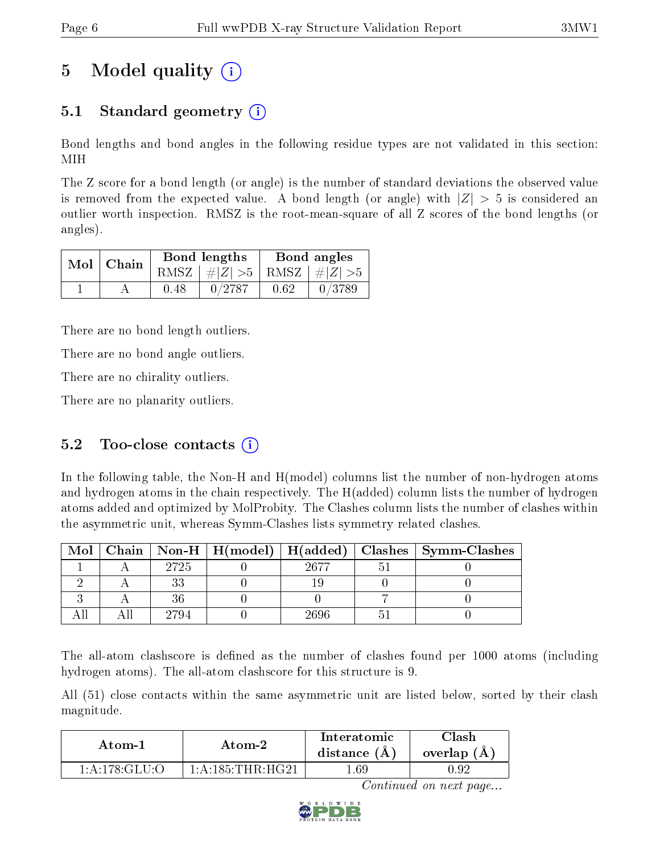# 5 Model quality  $(i)$

## 5.1 Standard geometry (i)

Bond lengths and bond angles in the following residue types are not validated in this section: MIH

The Z score for a bond length (or angle) is the number of standard deviations the observed value is removed from the expected value. A bond length (or angle) with  $|Z| > 5$  is considered an outlier worth inspection. RMSZ is the root-mean-square of all Z scores of the bond lengths (or angles).

|  | $Mol$ Chain |      | Bond lengths                    | Bond angles |        |  |
|--|-------------|------|---------------------------------|-------------|--------|--|
|  |             |      | RMSZ $ #Z  > 5$ RMSZ $ #Z  > 5$ |             |        |  |
|  |             | 0.48 | 0/2787                          | 0.62        | 0/3789 |  |

There are no bond length outliers.

There are no bond angle outliers.

There are no chirality outliers.

There are no planarity outliers.

### 5.2 Too-close contacts  $(i)$

In the following table, the Non-H and H(model) columns list the number of non-hydrogen atoms and hydrogen atoms in the chain respectively. The H(added) column lists the number of hydrogen atoms added and optimized by MolProbity. The Clashes column lists the number of clashes within the asymmetric unit, whereas Symm-Clashes lists symmetry related clashes.

| Mol |      |      | Chain   Non-H   H(model)   H(added)   Clashes   Symm-Clashes |
|-----|------|------|--------------------------------------------------------------|
|     | 2725 | 9677 |                                                              |
|     |      |      |                                                              |
|     |      |      |                                                              |
|     |      | IRGF |                                                              |

The all-atom clashscore is defined as the number of clashes found per 1000 atoms (including hydrogen atoms). The all-atom clashscore for this structure is 9.

All (51) close contacts within the same asymmetric unit are listed below, sorted by their clash magnitude.

| Atom-1                                | Atom-2                | Interatomic<br>distance $(A)$ | Clash<br>overlap (A) |  |
|---------------------------------------|-----------------------|-------------------------------|----------------------|--|
| $-1:$ A $:$ 178 $:$ GLU $\cdot$ O $-$ | $1:$ A:185: THR: HG21 | .69                           | J.92                 |  |

Continued on next page...

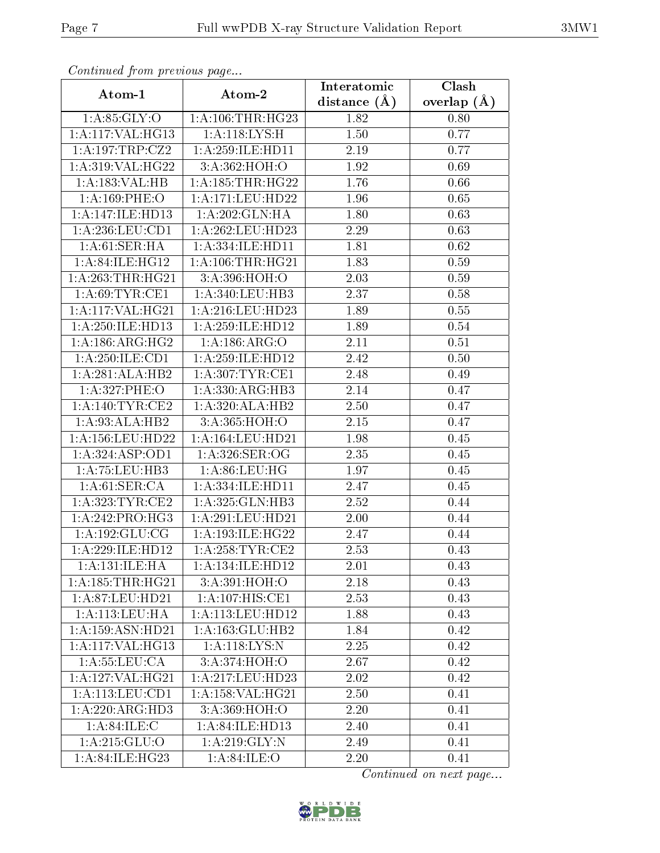| Continuea from previous page |                               | Interatomic       | Clash         |  |  |
|------------------------------|-------------------------------|-------------------|---------------|--|--|
| Atom-1                       | Atom-2                        | distance $(A)$    | overlap $(A)$ |  |  |
| 1: A:85: GLY:O               | 1: A: 106: THR: HG23          | 1.82              | 0.80          |  |  |
| 1:A:117:VAL:HG13             | 1:A:118:LYS:H                 | $\overline{1}.50$ | 0.77          |  |  |
| 1:A:197:TRP:CZ2              | 1: A:259: ILE: HDI1           | 2.19              | 0.77          |  |  |
| 1:A:319:VAL:HG22             | 3:A:362:HOH:O                 | 1.92              | 0.69          |  |  |
| 1:A:183:VAL:H B              | 1: A: 185: THR: HG22          | 1.76              | 0.66          |  |  |
| 1: A:169: PHE:O              | 1:A:171:LEU:HD22              | 1.96              | 0.65          |  |  |
| 1:A:147:ILE:HD13             | 1:A:202:GLN:HA                | 1.80              | 0.63          |  |  |
| 1: A:236:LEU:CD1             | 1:A:262:LEU:HD23              | 2.29              | 0.63          |  |  |
| 1: A:61:SER:HA               | 1: A: 334: ILE: HD11          | 1.81              | 0.62          |  |  |
| 1:A:84:ILE:HG12              | 1: A: 106: THR: HG21          | 1.83              | 0.59          |  |  |
| 1: A:263:THR:HG21            | 3: A:396: HOH:O               | 2.03              | 0.59          |  |  |
| 1: A:69:TYR:CE1              | 1:A:340:LEU:HB3               | 2.37              | 0.58          |  |  |
| 1:A:117:VAL:HG21             | 1: A:216:LEU:HD23             | 1.89              | 0.55          |  |  |
| 1:A:250:ILE:HD13             | 1: A:259: ILE: HD12           | 1.89              | 0.54          |  |  |
| 1: A: 186: ARG: HG2          | 1: A: 186: ARG: O             | 2.11              | 0.51          |  |  |
| 1:A:250:ILE:CD1              | 1: A:259: ILE: HD12           | 2.42              | 0.50          |  |  |
| 1:A:281:ALA:HB2              | 1: A:307:TYR:CE1              | 2.48              | 0.49          |  |  |
| 1:A:327:PHE:O                | 1:A:330:ARG:HB3               | 2.14              | 0.47          |  |  |
| 1: A:140: TYR: CE2           | 1:A:320:ALA:HB2               | 2.50              | 0.47          |  |  |
| 1:A:93:ALA:HB2               | 3:A:365:HOH:O                 | 2.15              | 0.47          |  |  |
| 1:A:156:LEU:HD22             | 1:A:164:LEU:HD21              | 1.98              | 0.45          |  |  |
| 1:A:324:ASP:OD1              | 1: A:326: SER:OG              | 2.35              | 0.45          |  |  |
| 1:A:75:LEU:HB3               | 1: A:86: LEU:HG               | 1.97              | 0.45          |  |  |
| 1: A:61:SER:CA               | 1:A:334:ILE:HD11              | 2.47              | 0.45          |  |  |
| 1: A:323:TYR:CE2             | 1:A:325:GLN:HB3               | 2.52              | 0.44          |  |  |
| 1:A:242:PRO:HG3              | 1:A:291:LEU:HD21              | 2.00              | 0.44          |  |  |
| 1: A: 192: GLU: CG           | 1:A:193:ILE:HG22              | 2.47              | 0.44          |  |  |
| 1:A:229:ILE:HD12             | 1: A:258:TYR:CE2              | 2.53              | 0.43          |  |  |
| 1: A: 131: ILE: HA           | 1:A:134:ILE:HD12              | 2.01              | 0.43          |  |  |
| 1:A:185:THR:HG21             | 3:A:391:HOH:O                 | 2.18              | 0.43          |  |  |
| 1: A:87:LEU:HD21             | 1:A:107:HIS:CE1               | 2.53              | 0.43          |  |  |
| 1: A:113: LEU: HA            | 1: A: 113: LEU: HD12          | 1.88              | 0.43          |  |  |
| 1: A: 159: ASN: HD21         | 1:A:163:GLU:HB2               | 1.84              | 0.42          |  |  |
| 1:A:117:VAL:HG13             | 1:A:118:LYS:N                 | 2.25              | 0.42          |  |  |
| 1:A:55:LEU:CA                | 3:A:374:HOH:O                 | 2.67              | 0.42          |  |  |
| 1:A:127:VAL:HG21             | $1:A:217:L\overline{EU:HD23}$ | 2.02              | 0.42          |  |  |
| 1:A:113:LEU:CD1              | 1:A:158:VAL:HG21              | 2.50              | 0.41          |  |  |
| 1: A:220:ARG:HD3             | 3:A:369:HOH:O                 | 2.20              | 0.41          |  |  |
| 1: A:84: ILE:C               | 1:A:84:ILE:HD13               | 2.40              | 0.41          |  |  |
| 1: A:215: GLU:O              | 1: A:219: GLY:N               | 2.49              | 0.41          |  |  |
| 1:A:84:ILE:HG23              | 1: A:84: ILE: O               | 2.20              | 0.41          |  |  |

Continued from previous page.

Continued on next page...

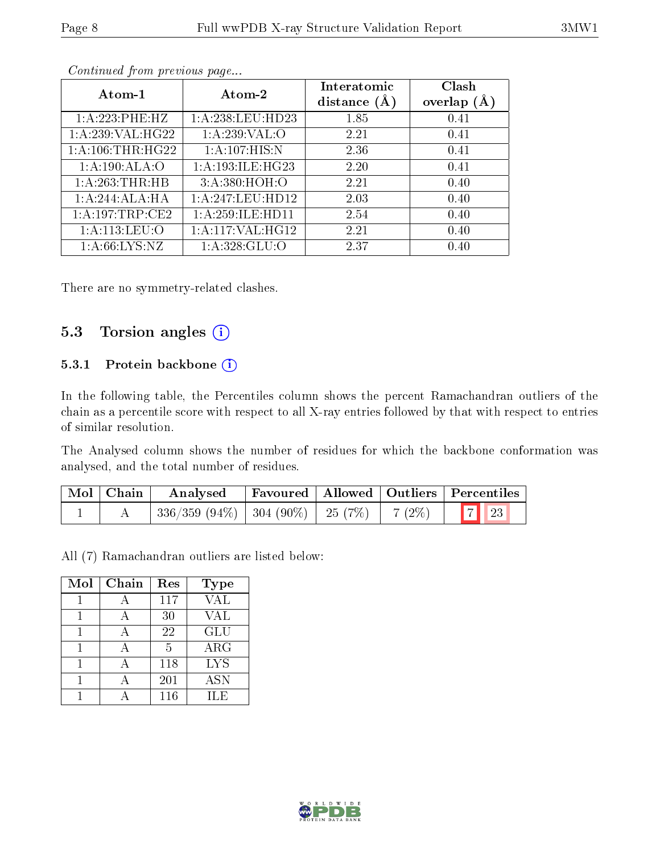|--|

| Atom-1            | Atom-2                     | Interatomic<br>distance $(A)$ | Clash<br>overlap $(A)$ |
|-------------------|----------------------------|-------------------------------|------------------------|
| 1:A:223:PHE:HZ    | 1: A:238:LEU:HD23          | 1.85                          | 0.41                   |
| 1:A:239:VAL:HG22  | 1:A:239:VAL:O              | 2.21                          | 0.41                   |
| 1: A:106:THR:HG22 | 1:A:107:HIS:N              | 2.36                          | 0.41                   |
| 1: A:190:ALA:O    | 1:A:193:ILE:HG23           | 2.20                          | 0.41                   |
| 1: A:263:THR:HB   | 3:A:380:HOH:O              | 2.21                          | 0.40                   |
| 1:A:244:ALA:HA    | 1:A:247:LEU:HD12           | 2.03                          | 0.40                   |
| 1:A:197:TRP:CE2   | 1:A:259:ILE:HD11           | 2.54                          | 0.40                   |
| 1: A:113: LEU:O   | 1:A:117:VAL:HG12           | 2.21                          | 0.40                   |
| 1: A:66: LYS:NZ   | $1:A:328:GL\overline{U:O}$ | 2.37                          | 0.40                   |

Continued from previous page...

There are no symmetry-related clashes.

### 5.3 Torsion angles (i)

#### 5.3.1 Protein backbone (i)

In the following table, the Percentiles column shows the percent Ramachandran outliers of the chain as a percentile score with respect to all X-ray entries followed by that with respect to entries of similar resolution.

The Analysed column shows the number of residues for which the backbone conformation was analysed, and the total number of residues.

| Mol   Chain | Analysed                                                                |  | Favoured   Allowed   Outliers   Percentiles |
|-------------|-------------------------------------------------------------------------|--|---------------------------------------------|
|             | $336/359$ $(94\%)$ $304$ $(90\%)$ $25$ $(7\%)$ $7$ $(2\%)$ $7$ $7$ $23$ |  |                                             |

All (7) Ramachandran outliers are listed below:

| Mol | Chain | Res             | <b>Type</b> |
|-----|-------|-----------------|-------------|
|     |       | 117             | <b>VAL</b>  |
|     |       | 30              | VAL         |
|     |       | 22              | <b>GLU</b>  |
|     |       | $5\overline{)}$ | $\rm{ARG}$  |
|     |       | 118             | <b>LYS</b>  |
|     |       | 201             | <b>ASN</b>  |
|     |       | 116             | ILE         |

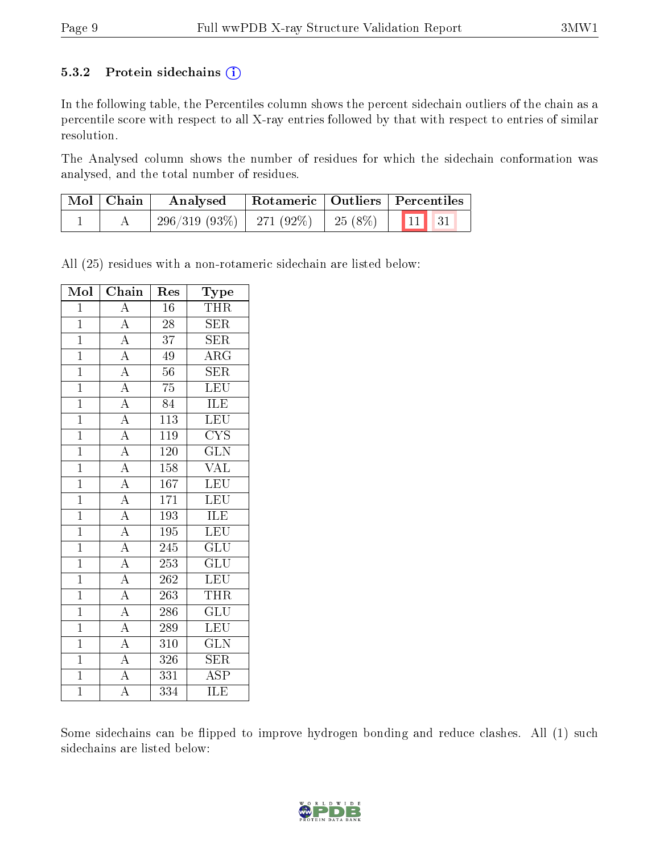#### 5.3.2 Protein sidechains  $(i)$

In the following table, the Percentiles column shows the percent sidechain outliers of the chain as a percentile score with respect to all X-ray entries followed by that with respect to entries of similar resolution.

The Analysed column shows the number of residues for which the sidechain conformation was analysed, and the total number of residues.

| $\mid$ Mol $\mid$ Chain | $\perp$ Rotameric   Outliers   Percentiles<br>Analysed |  |  |  |
|-------------------------|--------------------------------------------------------|--|--|--|
|                         | $\mid$ 296/319 (93%)   271 (92%)   25 (8%)   11 31     |  |  |  |

All (25) residues with a non-rotameric sidechain are listed below:

| Mol            | Chain              | Res              | Type                    |
|----------------|--------------------|------------------|-------------------------|
| $\mathbf{1}$   | A                  | 16               | <b>THR</b>              |
| $\overline{1}$ | $\overline{A}$     | 28               | <b>SER</b>              |
| $\overline{1}$ | $\overline{A}$     | $\overline{37}$  | <b>SER</b>              |
| $\overline{1}$ | $\overline{A}$     | 49               | $\rm{ARG}$              |
| $\overline{1}$ | $\overline{A}$     | $\overline{56}$  | SER                     |
| $\overline{1}$ | $\overline{A}$     | 75               | <b>LEU</b>              |
| $\overline{1}$ | $\overline{A}$     | 84               | <b>ILE</b>              |
| $\mathbf{1}$   | $\overline{A}$     | 113              | LEU                     |
| $\mathbf{1}$   | $\overline{A}$     | 119              | <b>CYS</b>              |
| $\mathbf{1}$   | $\overline{A}$     | 120              | $\overline{\text{GLN}}$ |
| $\overline{1}$ | $\overline{A}$     | 158              | <b>VAL</b>              |
| $\mathbf{1}$   | $\overline{A}$     | $\overline{16}7$ | LEU                     |
| $\mathbf{1}$   | $\overline{A}$     | 171              | <b>LEU</b>              |
| $\overline{1}$ | $\overline{A}$     | 193              | <b>ILE</b>              |
| $\overline{1}$ | $\overline{A}$     | 195              | <b>LEU</b>              |
| $\mathbf{1}$   | $\overline{A}$     | 245              | <b>GLU</b>              |
| $\overline{1}$ | $\overline{A}$     | 253              | $\overline{\text{GLU}}$ |
| $\mathbf{1}$   | $\overline{A}$     | 262              | <b>LEU</b>              |
| $\overline{1}$ | $\overline{A}$     | $\overline{263}$ | <b>THR</b>              |
| $\overline{1}$ | $\overline{A}$     | 286              | $\overline{\text{GLU}}$ |
| $\overline{1}$ | $\overline{A}$     | 289              | LEU                     |
| $\overline{1}$ | $\overline{A}$     | 310              | $\overline{{\rm GLN}}$  |
| $\overline{1}$ | $\overline{A}$     | 326              | $\overline{\text{SER}}$ |
| $\overline{1}$ | $\overline{A}$     | 331              | $\overline{\text{ASP}}$ |
| $\overline{1}$ | $\overline{\rm A}$ | 334              | ILE                     |

Some sidechains can be flipped to improve hydrogen bonding and reduce clashes. All (1) such sidechains are listed below:

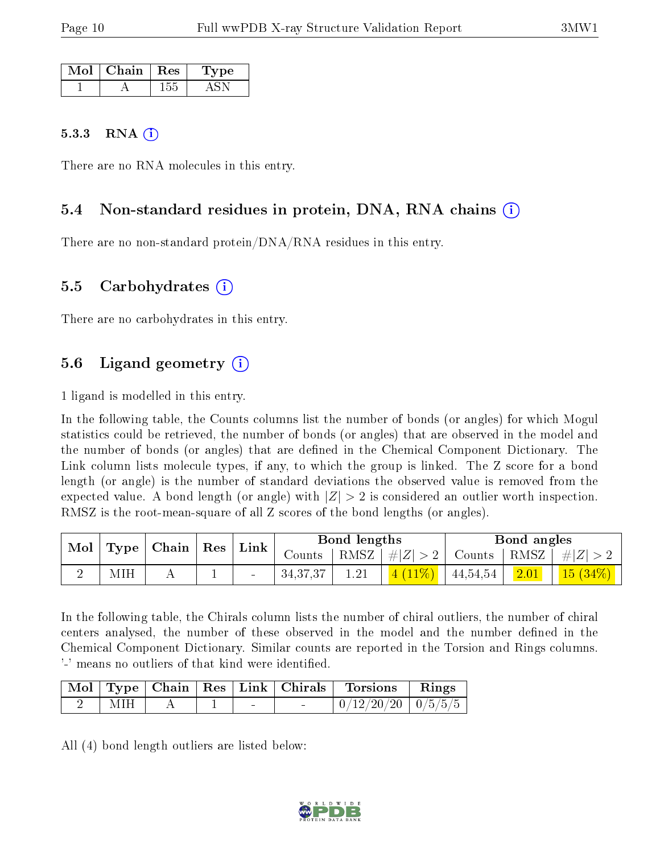| Mol | $\mid$ Chain $\mid$ Res | 'Type |
|-----|-------------------------|-------|
|     |                         |       |

#### 5.3.3 RNA  $(i)$

There are no RNA molecules in this entry.

### 5.4 Non-standard residues in protein, DNA, RNA chains (i)

There are no non-standard protein/DNA/RNA residues in this entry.

#### 5.5 Carbohydrates (i)

There are no carbohydrates in this entry.

### 5.6 Ligand geometry (i)

1 ligand is modelled in this entry.

In the following table, the Counts columns list the number of bonds (or angles) for which Mogul statistics could be retrieved, the number of bonds (or angles) that are observed in the model and the number of bonds (or angles) that are dened in the Chemical Component Dictionary. The Link column lists molecule types, if any, to which the group is linked. The Z score for a bond length (or angle) is the number of standard deviations the observed value is removed from the expected value. A bond length (or angle) with  $|Z| > 2$  is considered an outlier worth inspection. RMSZ is the root-mean-square of all Z scores of the bond lengths (or angles).

| Mol | Type | $\overline{\phantom{a}}$ Chain $\overline{\phantom{a}}$ | $\mid$ Res $\mid$ | ${\rm Link}$             |            | Bond lengths |          |          | Bond angles |            |
|-----|------|---------------------------------------------------------|-------------------|--------------------------|------------|--------------|----------|----------|-------------|------------|
|     |      |                                                         |                   |                          | Counts     | RMSZ         | #Z  > 2  | Counts   | RMSZ        | $  \#  Z $ |
|     | MIH  |                                                         |                   | $\overline{\phantom{0}}$ | 34, 37, 37 |              | $(11\%)$ | 44,54,54 | 2.01        | $15(34\%)$ |

In the following table, the Chirals column lists the number of chiral outliers, the number of chiral centers analysed, the number of these observed in the model and the number defined in the Chemical Component Dictionary. Similar counts are reported in the Torsion and Rings columns. '-' means no outliers of that kind were identified.

|     |  |        | Mol   Type   Chain   Res   Link   Chirals   Torsions   Rings |  |
|-----|--|--------|--------------------------------------------------------------|--|
| MIH |  | $\sim$ | $0/12/20/20$   $0/5/5/5$                                     |  |

All (4) bond length outliers are listed below:

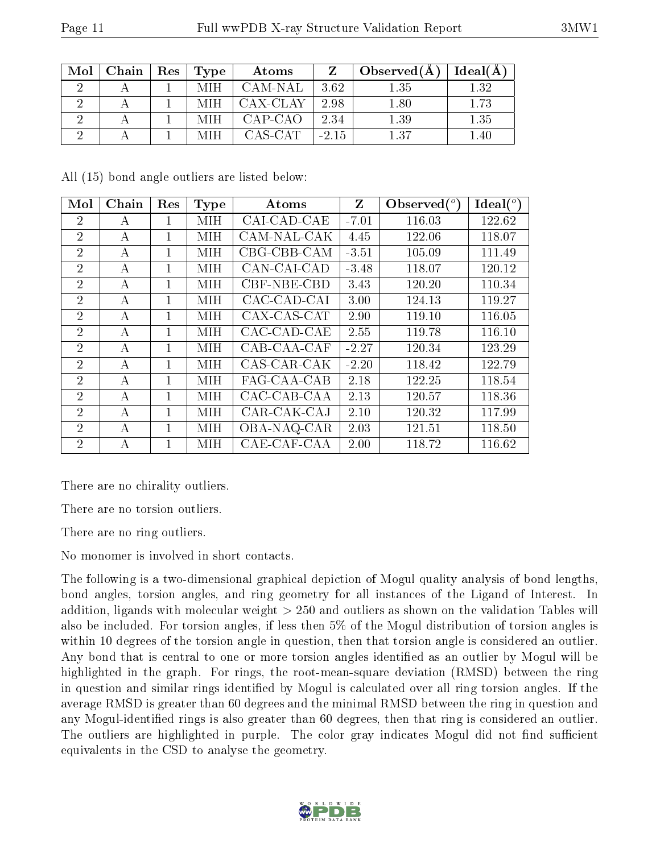| Mol | Chain | Res | Type | Atoms    |         | Observed(A) | Ideal(A) |
|-----|-------|-----|------|----------|---------|-------------|----------|
|     |       |     | MIH  | CAM-NAL  | 3.62    | $1.35\,$    | $1.32\,$ |
|     |       |     | MIH  | CAX-CLAY | 2.98    | 1.80        | $1.73\,$ |
|     |       |     | -MIH | CAP-CAO  | 2.34    | $1.39\,$    | $1.35\,$ |
|     |       |     |      | CAS-CAT  | $-2.15$ | $+37$       | . .40    |

All (15) bond angle outliers are listed below:

| Mol            | Chain | Res            | Type       | Atoms       | Z       | Observed $(°)$ | Ideal $(^\circ)$ |
|----------------|-------|----------------|------------|-------------|---------|----------------|------------------|
| $\overline{2}$ | А     | 1              | MIH        | CAI-CAD-CAE | $-7.01$ | 116.03         | 122.62           |
| $\overline{2}$ | А     | 1              | MIH        | CAM-NAL-CAK | 4.45    | 122.06         | 118.07           |
| $\overline{2}$ | A     | $\mathbf{1}$   | MIH        | CBG-CBB-CAM | $-3.51$ | 105.09         | 111.49           |
| $\overline{2}$ | А     | 1              | MIH        | CAN-CAI-CAD | $-3.48$ | 118.07         | 120.12           |
| $\overline{2}$ | А     | 1              | MIH        | CBF-NBE-CBD | 3.43    | 120.20         | 110.34           |
| $\overline{2}$ | А     | 1              | MIH        | CAC-CAD-CAI | 3.00    | 124.13         | 119.27           |
| $\overline{2}$ | А     | 1              | MIH        | CAX-CAS-CAT | 2.90    | 119.10         | 116.05           |
| $\overline{2}$ | А     | $\overline{1}$ | MIH        | CAC-CAD-CAE | 2.55    | 119.78         | 116.10           |
| $\overline{2}$ | A     | 1              | MІН        | CAB-CAA-CAF | $-2.27$ | 120.34         | 123.29           |
| $\overline{2}$ | А     | 1              | MIH        | CAS-CAR-CAK | $-2.20$ | 118.42         | 122.79           |
| $\overline{2}$ | А     | 1              | MIH        | FAG-CAA-CAB | 2.18    | 122.25         | 118.54           |
| $\overline{2}$ | А     | $\mathbf{1}$   | MІН        | CAC-CAB-CAA | 2.13    | 120.57         | 118.36           |
| $\overline{2}$ | А     | 1              | <b>MIH</b> | CAR-CAK-CAJ | 2.10    | 120.32         | 117.99           |
| $\overline{2}$ | А     | $\overline{1}$ | MIH        | OBA-NAQ-CAR | 2.03    | 121.51         | 118.50           |
| $\overline{2}$ | А     | 1              | MІН        | CAE-CAF-CAA | 2.00    | 118.72         | 116.62           |

There are no chirality outliers.

There are no torsion outliers.

There are no ring outliers.

No monomer is involved in short contacts.

The following is a two-dimensional graphical depiction of Mogul quality analysis of bond lengths, bond angles, torsion angles, and ring geometry for all instances of the Ligand of Interest. In addition, ligands with molecular weight > 250 and outliers as shown on the validation Tables will also be included. For torsion angles, if less then 5% of the Mogul distribution of torsion angles is within 10 degrees of the torsion angle in question, then that torsion angle is considered an outlier. Any bond that is central to one or more torsion angles identified as an outlier by Mogul will be highlighted in the graph. For rings, the root-mean-square deviation (RMSD) between the ring in question and similar rings identified by Mogul is calculated over all ring torsion angles. If the average RMSD is greater than 60 degrees and the minimal RMSD between the ring in question and any Mogul-identified rings is also greater than 60 degrees, then that ring is considered an outlier. The outliers are highlighted in purple. The color gray indicates Mogul did not find sufficient equivalents in the CSD to analyse the geometry.

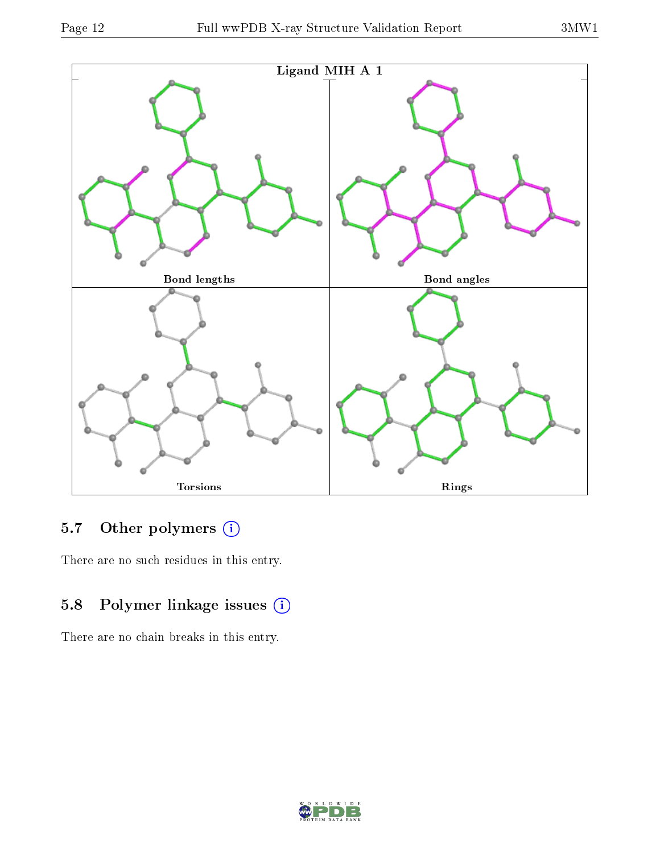

### 5.7 [O](https://www.wwpdb.org/validation/2017/XrayValidationReportHelp#nonstandard_residues_and_ligands)ther polymers (i)

There are no such residues in this entry.

## 5.8 Polymer linkage issues (i)

There are no chain breaks in this entry.

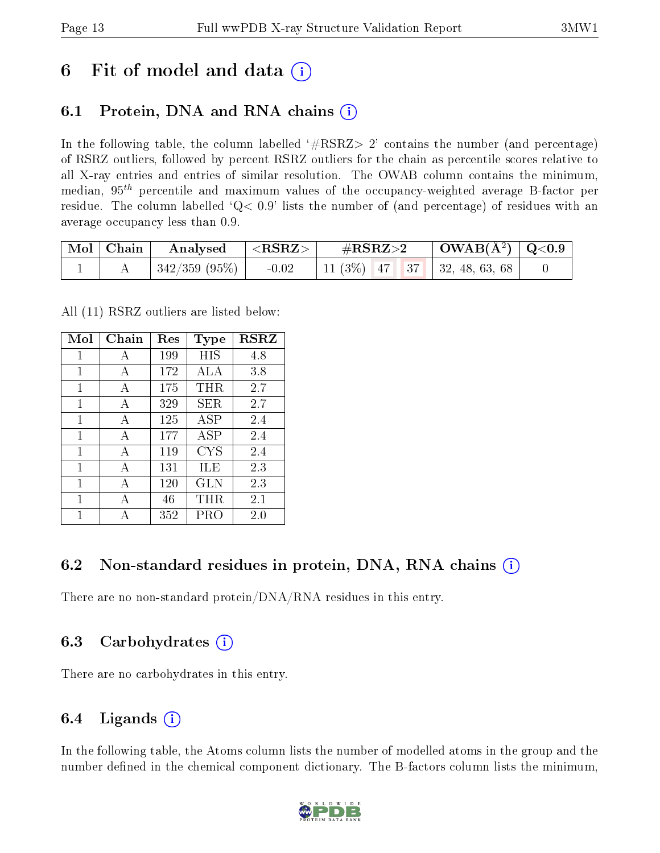## 6 Fit of model and data  $\left( \cdot \right)$

## 6.1 Protein, DNA and RNA chains (i)

In the following table, the column labelled  $#RSRZ> 2'$  contains the number (and percentage) of RSRZ outliers, followed by percent RSRZ outliers for the chain as percentile scores relative to all X-ray entries and entries of similar resolution. The OWAB column contains the minimum, median,  $95<sup>th</sup>$  percentile and maximum values of the occupancy-weighted average B-factor per residue. The column labelled  $Q< 0.9$  lists the number of (and percentage) of residues with an average occupancy less than 0.9.

| $\mid$ Mol $\mid$ Chain | $\rm{Analysised}$ $  <$ RSRZ $>$ |         | $\#\text{RSRZ}{>}2$                 | $\vert$ OWAB(Å <sup>2</sup> ) $\vert$ Q<0.9 |  |
|-------------------------|----------------------------------|---------|-------------------------------------|---------------------------------------------|--|
|                         | $\mid$ 342/359 (95%) $\mid$      | $-0.02$ | 11 (3\%)   47   37   32, 48, 63, 68 |                                             |  |

All (11) RSRZ outliers are listed below:

| Mol | Chain        | Res | <b>Type</b> | <b>RSRZ</b> |  |
|-----|--------------|-----|-------------|-------------|--|
| 1   | A            | 199 | HIS         | 4.8         |  |
| 1   | A            | 172 | ALA         | 3.8         |  |
| 1   | A            | 175 | THR.        | 2.7         |  |
| 1   | A            | 329 | SER.        | 2.7         |  |
| 1   | A            | 125 | <b>ASP</b>  | 2.4         |  |
| 1   | A            | 177 | ASP         | 2.4         |  |
| 1   | $\mathbf{A}$ | 119 | CYS         | 2.4         |  |
| 1   | A            | 131 | ILE         | 2.3         |  |
| 1   | A            | 120 | GLN         | 2.3         |  |
| 1   | A            | 46  | THR.        | 2.1         |  |
|     |              | 352 | PRO         | 2.0         |  |

### 6.2 Non-standard residues in protein, DNA, RNA chains (i)

There are no non-standard protein/DNA/RNA residues in this entry.

### 6.3 Carbohydrates (i)

There are no carbohydrates in this entry.

### 6.4 Ligands  $(i)$

In the following table, the Atoms column lists the number of modelled atoms in the group and the number defined in the chemical component dictionary. The B-factors column lists the minimum,